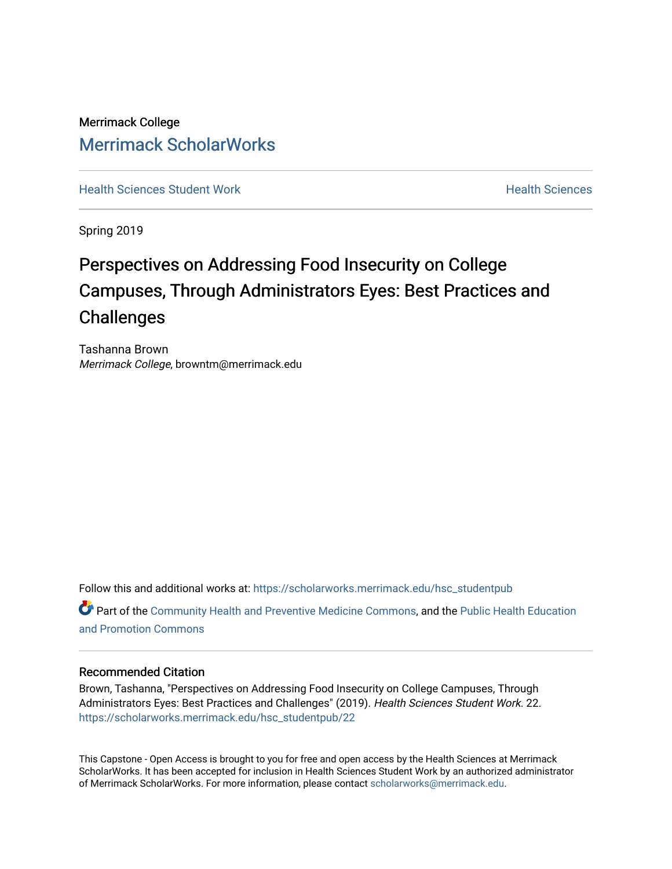Merrimack College [Merrimack ScholarWorks](https://scholarworks.merrimack.edu/) 

**[Health Sciences Student Work](https://scholarworks.merrimack.edu/hsc_studentpub) Health Sciences** Health Sciences

Spring 2019

# Perspectives on Addressing Food Insecurity on College Campuses, Through Administrators Eyes: Best Practices and **Challenges**

Tashanna Brown Merrimack College, browntm@merrimack.edu

Follow this and additional works at: [https://scholarworks.merrimack.edu/hsc\\_studentpub](https://scholarworks.merrimack.edu/hsc_studentpub?utm_source=scholarworks.merrimack.edu%2Fhsc_studentpub%2F22&utm_medium=PDF&utm_campaign=PDFCoverPages) Part of the [Community Health and Preventive Medicine Commons](http://network.bepress.com/hgg/discipline/744?utm_source=scholarworks.merrimack.edu%2Fhsc_studentpub%2F22&utm_medium=PDF&utm_campaign=PDFCoverPages), and the [Public Health Education](http://network.bepress.com/hgg/discipline/743?utm_source=scholarworks.merrimack.edu%2Fhsc_studentpub%2F22&utm_medium=PDF&utm_campaign=PDFCoverPages) [and Promotion Commons](http://network.bepress.com/hgg/discipline/743?utm_source=scholarworks.merrimack.edu%2Fhsc_studentpub%2F22&utm_medium=PDF&utm_campaign=PDFCoverPages)

## Recommended Citation

Brown, Tashanna, "Perspectives on Addressing Food Insecurity on College Campuses, Through Administrators Eyes: Best Practices and Challenges" (2019). Health Sciences Student Work. 22. [https://scholarworks.merrimack.edu/hsc\\_studentpub/22](https://scholarworks.merrimack.edu/hsc_studentpub/22?utm_source=scholarworks.merrimack.edu%2Fhsc_studentpub%2F22&utm_medium=PDF&utm_campaign=PDFCoverPages) 

This Capstone - Open Access is brought to you for free and open access by the Health Sciences at Merrimack ScholarWorks. It has been accepted for inclusion in Health Sciences Student Work by an authorized administrator of Merrimack ScholarWorks. For more information, please contact [scholarworks@merrimack.edu.](mailto:scholarworks@merrimack.edu)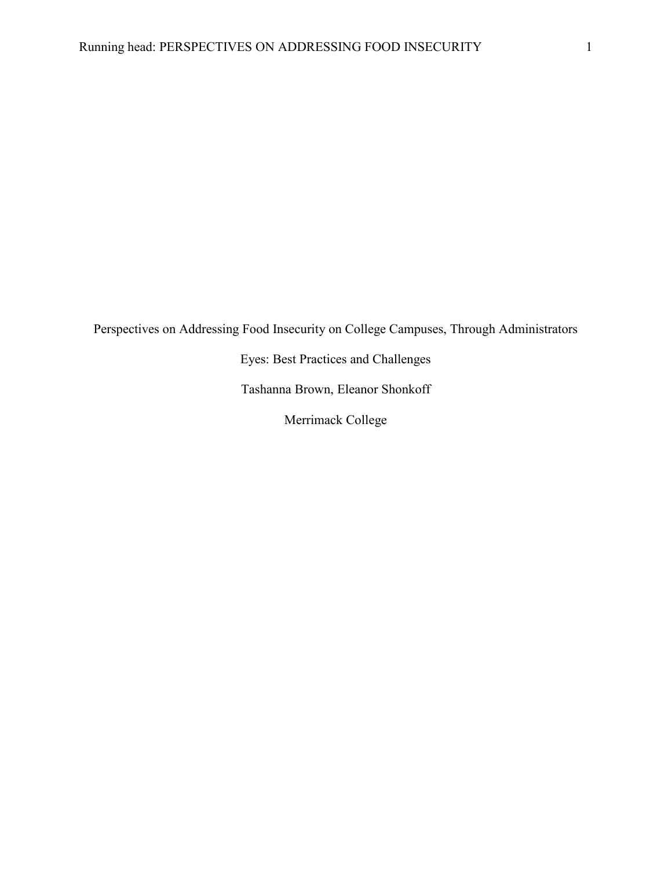Perspectives on Addressing Food Insecurity on College Campuses, Through Administrators

Eyes: Best Practices and Challenges

Tashanna Brown, Eleanor Shonkoff

Merrimack College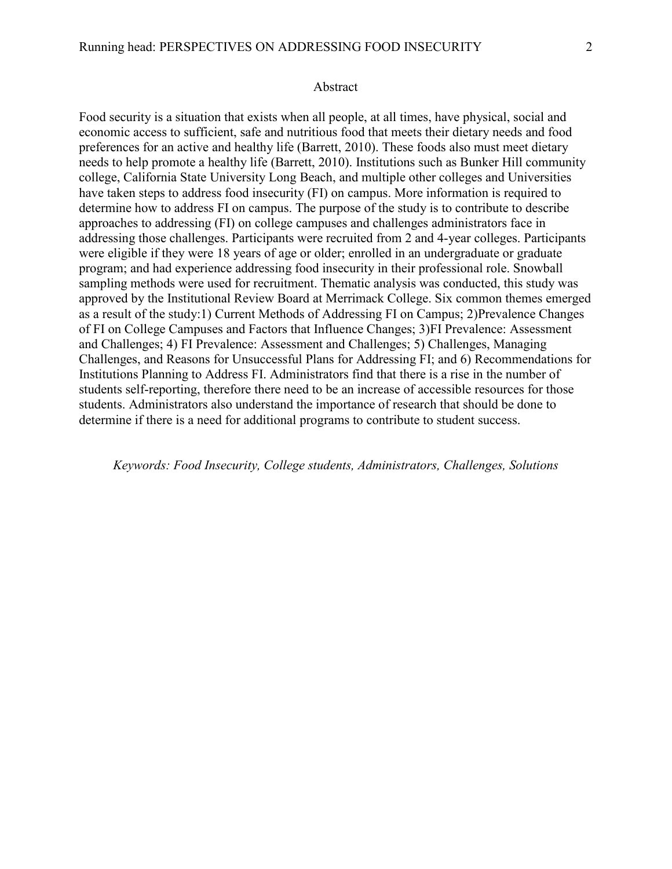#### Abstract

Food security is a situation that exists when all people, at all times, have physical, social and economic access to sufficient, safe and nutritious food that meets their dietary needs and food preferences for an active and healthy life (Barrett, 2010). These foods also must meet dietary needs to help promote a healthy life (Barrett, 2010). Institutions such as Bunker Hill community college, California State University Long Beach, and multiple other colleges and Universities have taken steps to address food insecurity (FI) on campus. More information is required to determine how to address FI on campus. The purpose of the study is to contribute to describe approaches to addressing (FI) on college campuses and challenges administrators face in addressing those challenges. Participants were recruited from 2 and 4-year colleges. Participants were eligible if they were 18 years of age or older; enrolled in an undergraduate or graduate program; and had experience addressing food insecurity in their professional role. Snowball sampling methods were used for recruitment. Thematic analysis was conducted, this study was approved by the Institutional Review Board at Merrimack College. Six common themes emerged as a result of the study:1) Current Methods of Addressing FI on Campus; 2)Prevalence Changes of FI on College Campuses and Factors that Influence Changes; 3)FI Prevalence: Assessment and Challenges; 4) FI Prevalence: Assessment and Challenges; 5) Challenges, Managing Challenges, and Reasons for Unsuccessful Plans for Addressing FI; and 6) Recommendations for Institutions Planning to Address FI. Administrators find that there is a rise in the number of students self-reporting, therefore there need to be an increase of accessible resources for those students. Administrators also understand the importance of research that should be done to determine if there is a need for additional programs to contribute to student success.

*Keywords: Food Insecurity, College students, Administrators, Challenges, Solutions*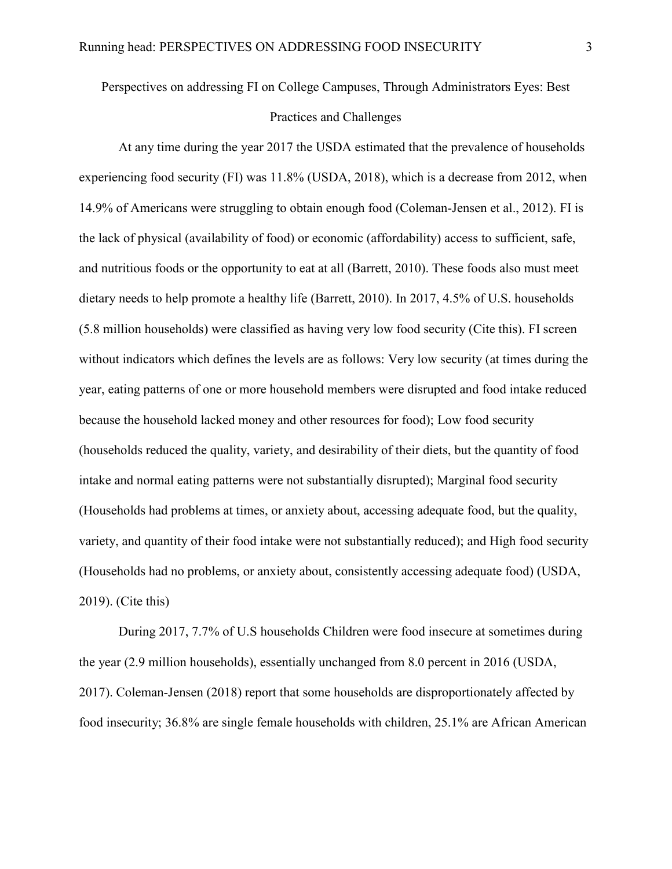Perspectives on addressing FI on College Campuses, Through Administrators Eyes: Best Practices and Challenges

At any time during the year 2017 the USDA estimated that the prevalence of households experiencing food security (FI) was 11.8% (USDA, 2018), which is a decrease from 2012, when 14.9% of Americans were struggling to obtain enough food (Coleman-Jensen et al., 2012). FI is the lack of physical (availability of food) or economic (affordability) access to sufficient, safe, and nutritious foods or the opportunity to eat at all (Barrett, 2010). These foods also must meet dietary needs to help promote a healthy life (Barrett, 2010). In 2017, 4.5% of U.S. households (5.8 million households) were classified as having very low food security (Cite this). FI screen without indicators which defines the levels are as follows: Very low security (at times during the year, eating patterns of one or more household members were disrupted and food intake reduced because the household lacked money and other resources for food); Low food security (households reduced the quality, variety, and desirability of their diets, but the quantity of food intake and normal eating patterns were not substantially disrupted); Marginal food security (Households had problems at times, or anxiety about, accessing adequate food, but the quality, variety, and quantity of their food intake were not substantially reduced); and High food security (Households had no problems, or anxiety about, consistently accessing adequate food) (USDA, 2019). (Cite this)

During 2017, 7.7% of U.S households Children were food insecure at sometimes during the year (2.9 million households), essentially unchanged from 8.0 percent in 2016 (USDA, 2017). Coleman-Jensen (2018) report that some households are disproportionately affected by food insecurity; 36.8% are single female households with children, 25.1% are African American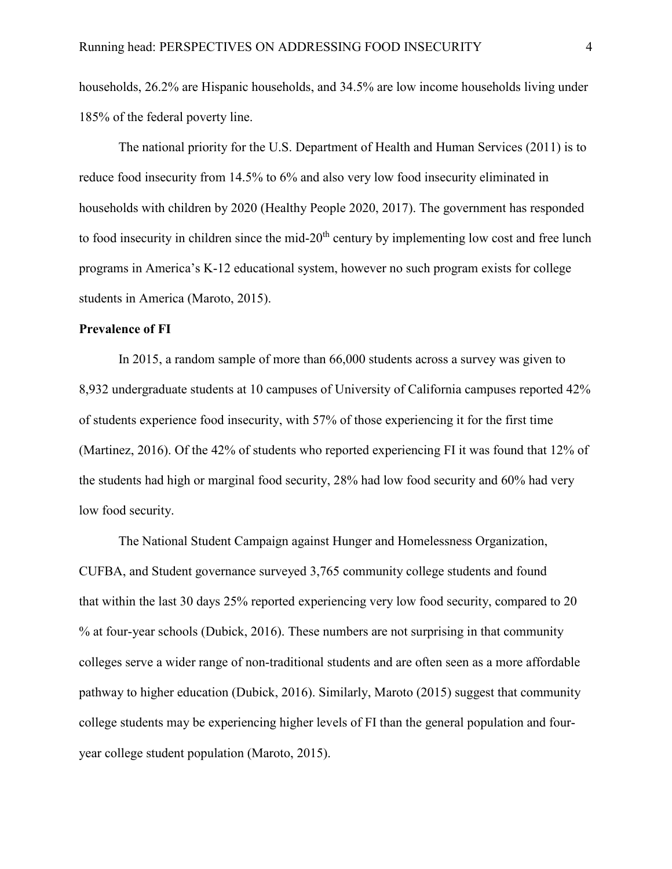households, 26.2% are Hispanic households, and 34.5% are low income households living under 185% of the federal poverty line.

The national priority for the U.S. Department of Health and Human Services (2011) is to reduce food insecurity from 14.5% to 6% and also very low food insecurity eliminated in households with children by 2020 (Healthy People 2020, 2017). The government has responded to food insecurity in children since the mid-20<sup>th</sup> century by implementing low cost and free lunch programs in America's K-12 educational system, however no such program exists for college students in America (Maroto, 2015).

### **Prevalence of FI**

In 2015, a random sample of more than 66,000 students across a survey was given to 8,932 undergraduate students at 10 campuses of University of California campuses reported 42% of students experience food insecurity, with 57% of those experiencing it for the first time (Martinez, 2016). Of the 42% of students who reported experiencing FI it was found that 12% of the students had high or marginal food security, 28% had low food security and 60% had very low food security.

The National Student Campaign against Hunger and Homelessness Organization, CUFBA, and Student governance surveyed 3,765 community college students and found that within the last 30 days 25% reported experiencing very low food security, compared to 20 % at four-year schools (Dubick, 2016). These numbers are not surprising in that community colleges serve a wider range of non-traditional students and are often seen as a more affordable pathway to higher education (Dubick, 2016). Similarly, Maroto (2015) suggest that community college students may be experiencing higher levels of FI than the general population and fouryear college student population (Maroto, 2015).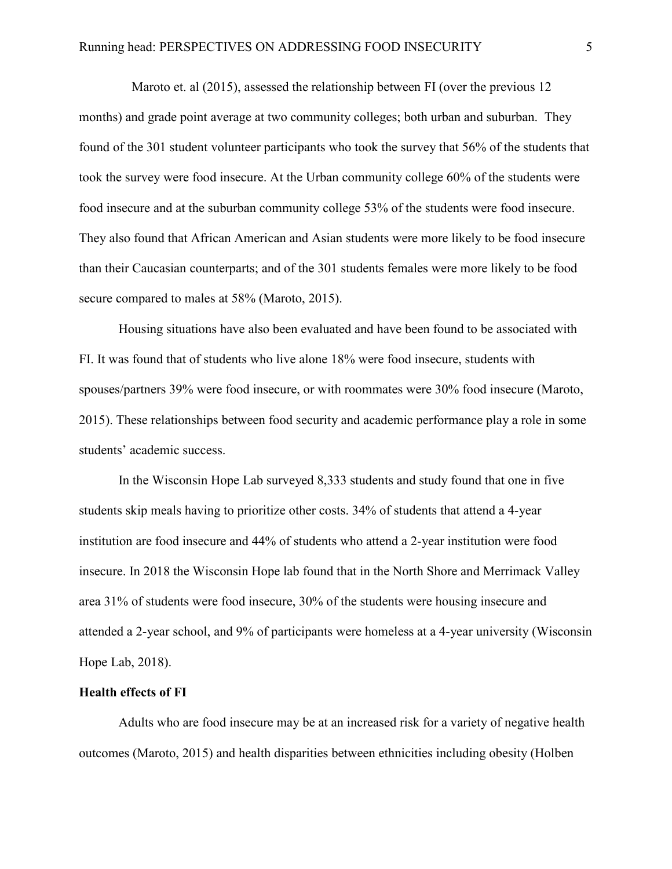Maroto et. al (2015), assessed the relationship between FI (over the previous 12 months) and grade point average at two community colleges; both urban and suburban. They found of the 301 student volunteer participants who took the survey that 56% of the students that took the survey were food insecure. At the Urban community college 60% of the students were food insecure and at the suburban community college 53% of the students were food insecure. They also found that African American and Asian students were more likely to be food insecure than their Caucasian counterparts; and of the 301 students females were more likely to be food secure compared to males at 58% (Maroto, 2015).

Housing situations have also been evaluated and have been found to be associated with FI. It was found that of students who live alone 18% were food insecure, students with spouses/partners 39% were food insecure, or with roommates were 30% food insecure (Maroto, 2015). These relationships between food security and academic performance play a role in some students' academic success.

In the Wisconsin Hope Lab surveyed 8,333 students and study found that one in five students skip meals having to prioritize other costs. 34% of students that attend a 4-year institution are food insecure and 44% of students who attend a 2-year institution were food insecure. In 2018 the Wisconsin Hope lab found that in the North Shore and Merrimack Valley area 31% of students were food insecure, 30% of the students were housing insecure and attended a 2-year school, and 9% of participants were homeless at a 4-year university (Wisconsin Hope Lab, 2018).

## **Health effects of FI**

Adults who are food insecure may be at an increased risk for a variety of negative health outcomes (Maroto, 2015) and health disparities between ethnicities including obesity (Holben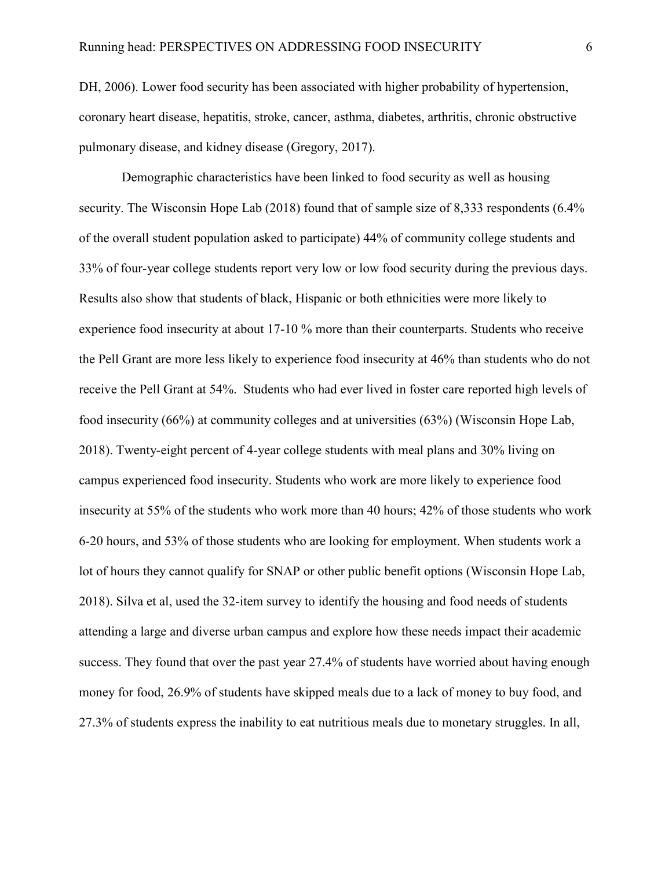DH, 2006). Lower food security has been associated with higher probability of hypertension, coronary heart disease, hepatitis, stroke, cancer, asthma, diabetes, arthritis, chronic obstructive pulmonary disease, and kidney disease (Gregory, 2017).

Demographic characteristics have been linked to food security as well as housing security. The Wisconsin Hope Lab (2018) found that of sample size of 8,333 respondents (6.4% of the overall student population asked to participate) 44% of community college students and 33% of four-year college students report very low or low food security during the previous days. Results also show that students of black, Hispanic or both ethnicities were more likely to experience food insecurity at about 17-10 % more than their counterparts. Students who receive the Pell Grant are more less likely to experience food insecurity at 46% than students who do not receive the Pell Grant at 54%. Students who had ever lived in foster care reported high levels of food insecurity (66%) at community colleges and at universities (63%) (Wisconsin Hope Lab, 2018). Twenty-eight percent of 4-year college students with meal plans and 30% living on campus experienced food insecurity. Students who work are more likely to experience food insecurity at 55% of the students who work more than 40 hours; 42% of those students who work 6-20 hours, and 53% of those students who are looking for employment. When students work a lot of hours they cannot qualify for SNAP or other public benefit options (Wisconsin Hope Lab, 2018). Silva et al, used the 32-item survey to identify the housing and food needs of students attending a large and diverse urban campus and explore how these needs impact their academic success. They found that over the past year 27.4% of students have worried about having enough money for food, 26.9% of students have skipped meals due to a lack of money to buy food, and 27.3% of students express the inability to eat nutritious meals due to monetary struggles. In all,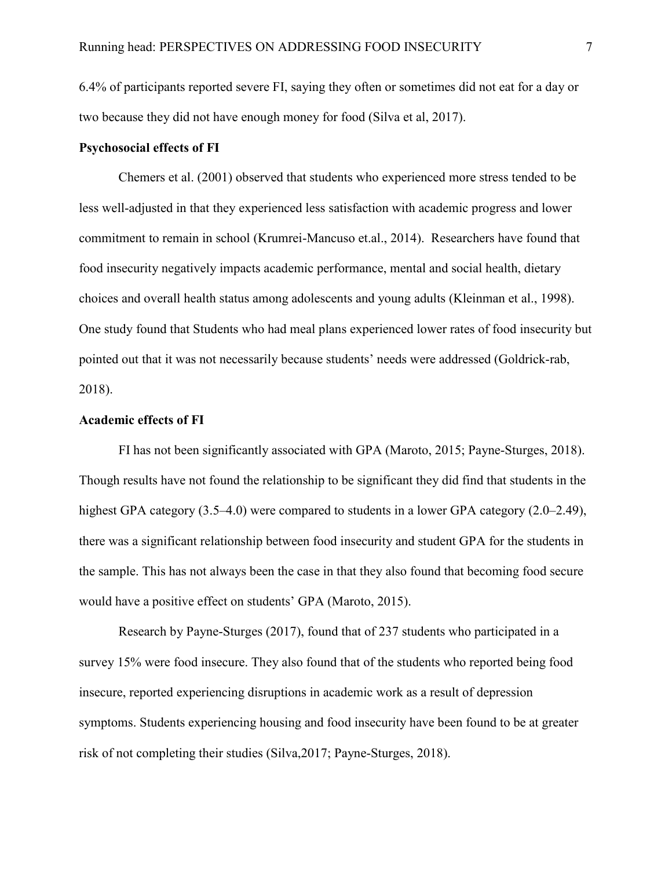6.4% of participants reported severe FI, saying they often or sometimes did not eat for a day or two because they did not have enough money for food (Silva et al, 2017).

## **Psychosocial effects of FI**

Chemers et al. (2001) observed that students who experienced more stress tended to be less well-adjusted in that they experienced less satisfaction with academic progress and lower commitment to remain in school (Krumrei-Mancuso et.al., 2014). Researchers have found that food insecurity negatively impacts academic performance, mental and social health, dietary choices and overall health status among adolescents and young adults (Kleinman et al., 1998). One study found that Students who had meal plans experienced lower rates of food insecurity but pointed out that it was not necessarily because students' needs were addressed (Goldrick-rab, 2018).

## **Academic effects of FI**

FI has not been significantly associated with GPA (Maroto, 2015; Payne-Sturges, 2018). Though results have not found the relationship to be significant they did find that students in the highest GPA category (3.5–4.0) were compared to students in a lower GPA category (2.0–2.49), there was a significant relationship between food insecurity and student GPA for the students in the sample. This has not always been the case in that they also found that becoming food secure would have a positive effect on students' GPA (Maroto, 2015).

Research by Payne-Sturges (2017), found that of 237 students who participated in a survey 15% were food insecure. They also found that of the students who reported being food insecure, reported experiencing disruptions in academic work as a result of depression symptoms. Students experiencing housing and food insecurity have been found to be at greater risk of not completing their studies (Silva,2017; Payne-Sturges, 2018).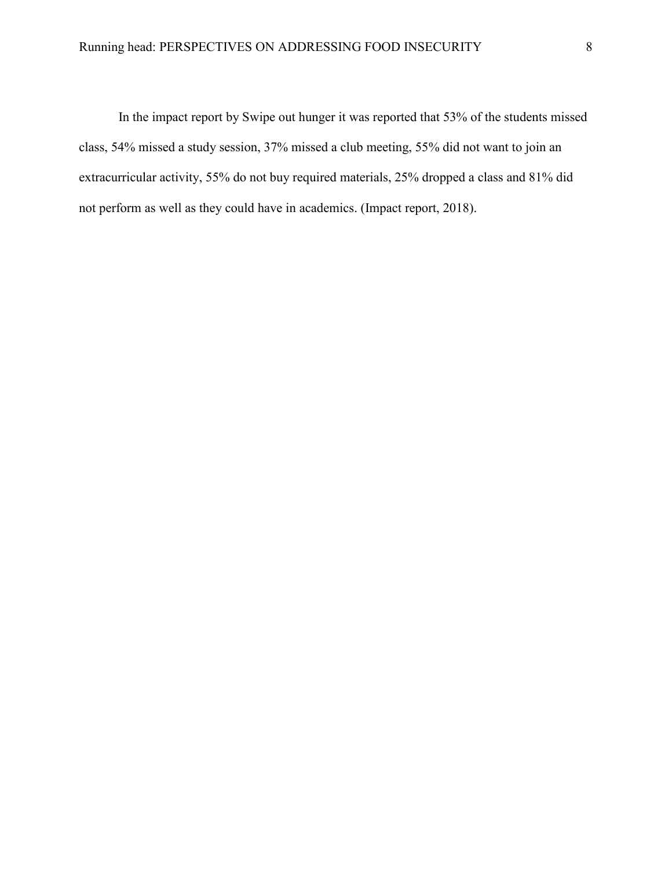In the impact report by Swipe out hunger it was reported that 53% of the students missed class, 54% missed a study session, 37% missed a club meeting, 55% did not want to join an extracurricular activity, 55% do not buy required materials, 25% dropped a class and 81% did not perform as well as they could have in academics. (Impact report, 2018).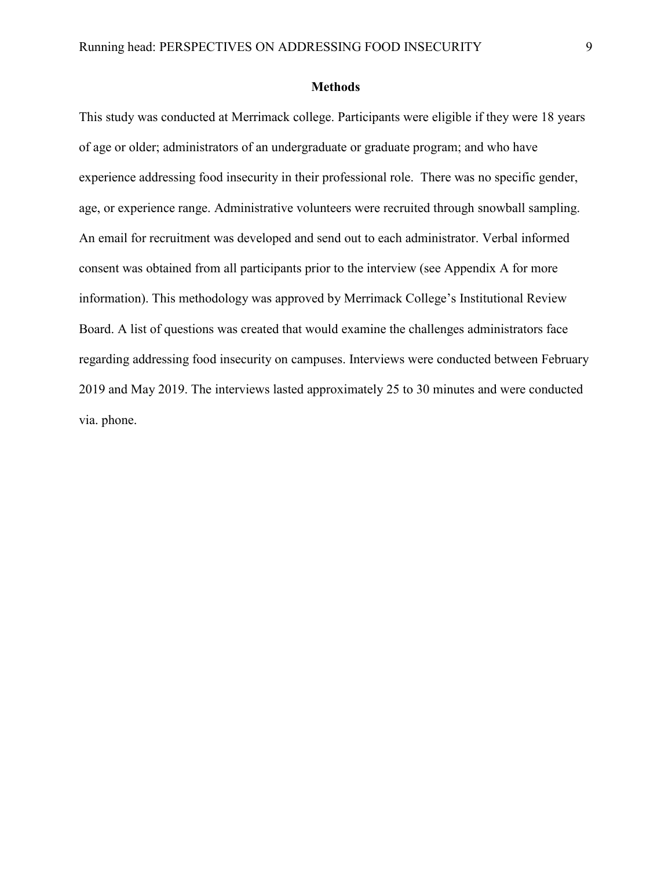#### **Methods**

This study was conducted at Merrimack college. Participants were eligible if they were 18 years of age or older; administrators of an undergraduate or graduate program; and who have experience addressing food insecurity in their professional role. There was no specific gender, age, or experience range. Administrative volunteers were recruited through snowball sampling. An email for recruitment was developed and send out to each administrator. Verbal informed consent was obtained from all participants prior to the interview (see Appendix A for more information). This methodology was approved by Merrimack College's Institutional Review Board. A list of questions was created that would examine the challenges administrators face regarding addressing food insecurity on campuses. Interviews were conducted between February 2019 and May 2019. The interviews lasted approximately 25 to 30 minutes and were conducted via. phone.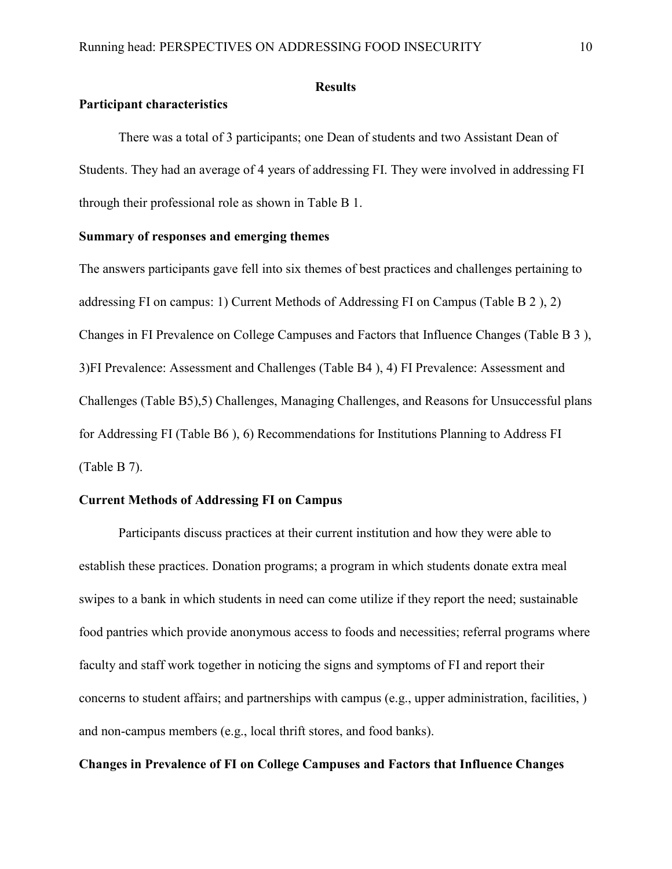## **Results**

# **Participant characteristics**

 There was a total of 3 participants; one Dean of students and two Assistant Dean of Students. They had an average of 4 years of addressing FI. They were involved in addressing FI through their professional role as shown in Table B 1.

# **Summary of responses and emerging themes**

The answers participants gave fell into six themes of best practices and challenges pertaining to addressing FI on campus: 1) Current Methods of Addressing FI on Campus (Table B 2 ), 2) Changes in FI Prevalence on College Campuses and Factors that Influence Changes (Table B 3 ), 3)FI Prevalence: Assessment and Challenges (Table B4 ), 4) FI Prevalence: Assessment and Challenges (Table B5),5) Challenges, Managing Challenges, and Reasons for Unsuccessful plans for Addressing FI (Table B6 ), 6) Recommendations for Institutions Planning to Address FI (Table B 7).

## **Current Methods of Addressing FI on Campus**

Participants discuss practices at their current institution and how they were able to establish these practices. Donation programs; a program in which students donate extra meal swipes to a bank in which students in need can come utilize if they report the need; sustainable food pantries which provide anonymous access to foods and necessities; referral programs where faculty and staff work together in noticing the signs and symptoms of FI and report their concerns to student affairs; and partnerships with campus (e.g., upper administration, facilities, ) and non-campus members (e.g., local thrift stores, and food banks).

# **Changes in Prevalence of FI on College Campuses and Factors that Influence Changes**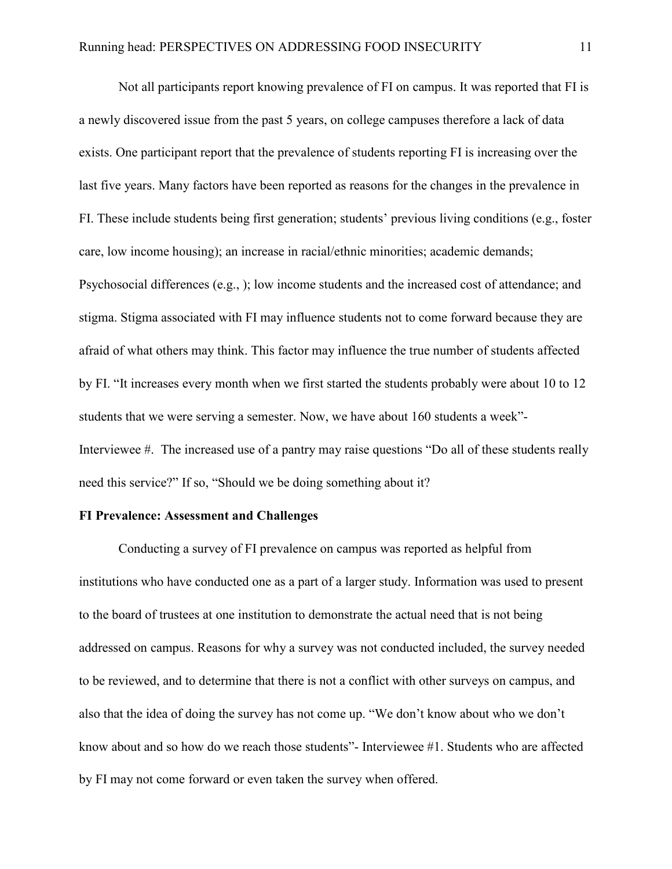Not all participants report knowing prevalence of FI on campus. It was reported that FI is a newly discovered issue from the past 5 years, on college campuses therefore a lack of data exists. One participant report that the prevalence of students reporting FI is increasing over the last five years. Many factors have been reported as reasons for the changes in the prevalence in FI. These include students being first generation; students' previous living conditions (e.g., foster care, low income housing); an increase in racial/ethnic minorities; academic demands; Psychosocial differences (e.g., ); low income students and the increased cost of attendance; and stigma. Stigma associated with FI may influence students not to come forward because they are afraid of what others may think. This factor may influence the true number of students affected by FI. "It increases every month when we first started the students probably were about 10 to 12 students that we were serving a semester. Now, we have about 160 students a week"- Interviewee #. The increased use of a pantry may raise questions "Do all of these students really need this service?" If so, "Should we be doing something about it?

## **FI Prevalence: Assessment and Challenges**

Conducting a survey of FI prevalence on campus was reported as helpful from institutions who have conducted one as a part of a larger study. Information was used to present to the board of trustees at one institution to demonstrate the actual need that is not being addressed on campus. Reasons for why a survey was not conducted included, the survey needed to be reviewed, and to determine that there is not a conflict with other surveys on campus, and also that the idea of doing the survey has not come up. "We don't know about who we don't know about and so how do we reach those students"- Interviewee #1. Students who are affected by FI may not come forward or even taken the survey when offered.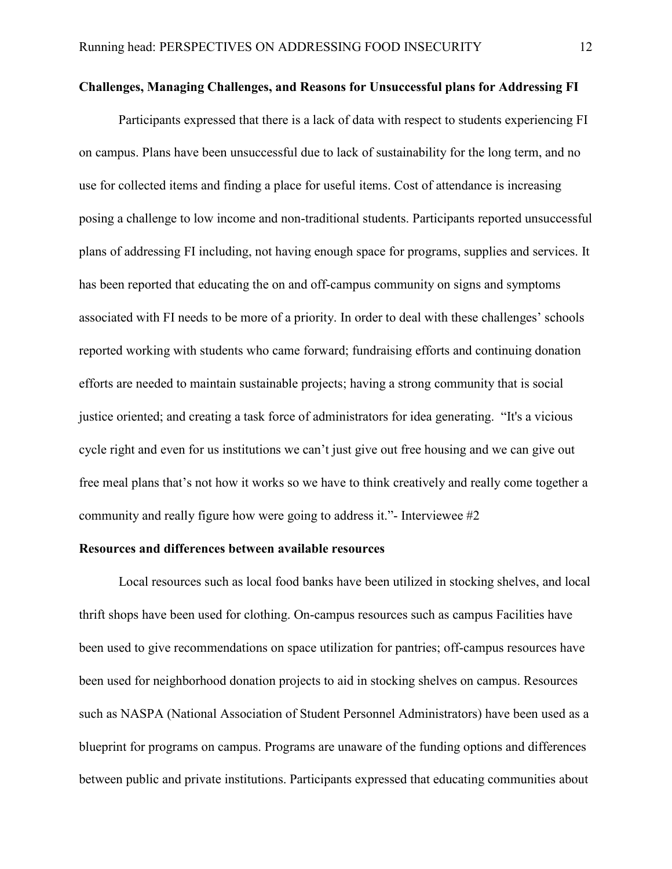## **Challenges, Managing Challenges, and Reasons for Unsuccessful plans for Addressing FI**

Participants expressed that there is a lack of data with respect to students experiencing FI on campus. Plans have been unsuccessful due to lack of sustainability for the long term, and no use for collected items and finding a place for useful items. Cost of attendance is increasing posing a challenge to low income and non-traditional students. Participants reported unsuccessful plans of addressing FI including, not having enough space for programs, supplies and services. It has been reported that educating the on and off-campus community on signs and symptoms associated with FI needs to be more of a priority. In order to deal with these challenges' schools reported working with students who came forward; fundraising efforts and continuing donation efforts are needed to maintain sustainable projects; having a strong community that is social justice oriented; and creating a task force of administrators for idea generating. "It's a vicious cycle right and even for us institutions we can't just give out free housing and we can give out free meal plans that's not how it works so we have to think creatively and really come together a community and really figure how were going to address it."- Interviewee #2

# **Resources and differences between available resources**

Local resources such as local food banks have been utilized in stocking shelves, and local thrift shops have been used for clothing. On-campus resources such as campus Facilities have been used to give recommendations on space utilization for pantries; off-campus resources have been used for neighborhood donation projects to aid in stocking shelves on campus. Resources such as NASPA (National Association of Student Personnel Administrators) have been used as a blueprint for programs on campus. Programs are unaware of the funding options and differences between public and private institutions. Participants expressed that educating communities about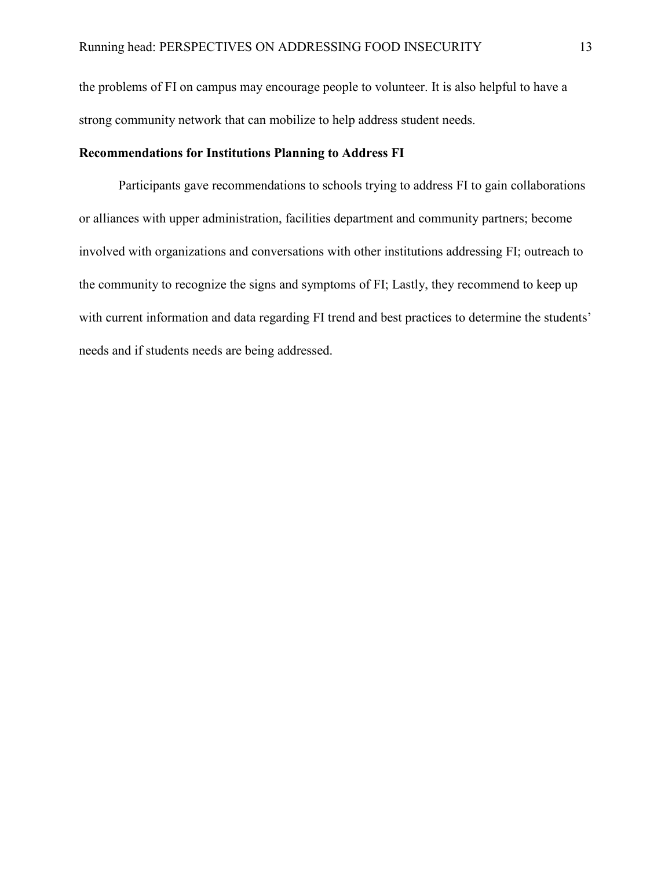the problems of FI on campus may encourage people to volunteer. It is also helpful to have a strong community network that can mobilize to help address student needs.

## **Recommendations for Institutions Planning to Address FI**

Participants gave recommendations to schools trying to address FI to gain collaborations or alliances with upper administration, facilities department and community partners; become involved with organizations and conversations with other institutions addressing FI; outreach to the community to recognize the signs and symptoms of FI; Lastly, they recommend to keep up with current information and data regarding FI trend and best practices to determine the students' needs and if students needs are being addressed.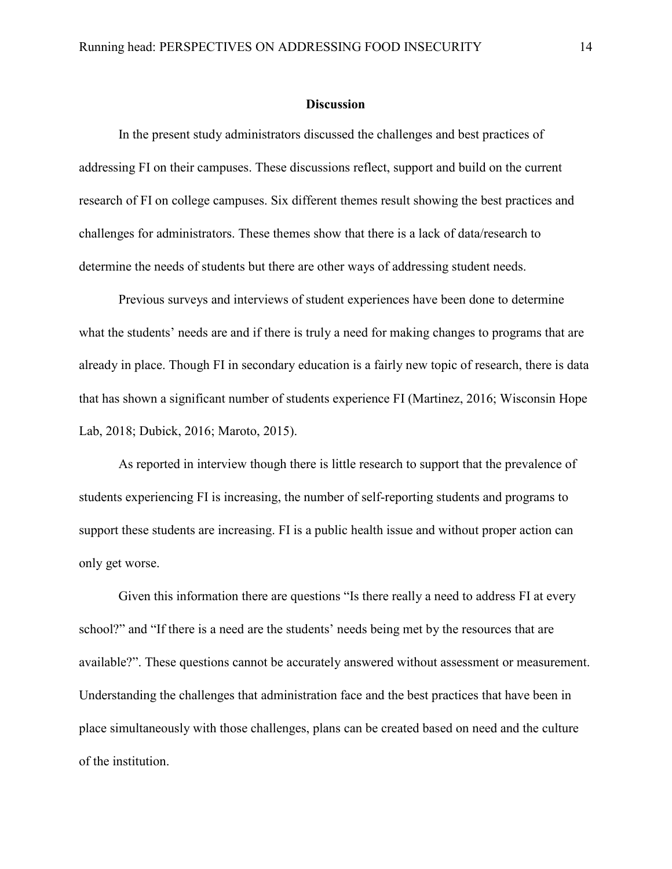#### **Discussion**

In the present study administrators discussed the challenges and best practices of addressing FI on their campuses. These discussions reflect, support and build on the current research of FI on college campuses. Six different themes result showing the best practices and challenges for administrators. These themes show that there is a lack of data/research to determine the needs of students but there are other ways of addressing student needs.

Previous surveys and interviews of student experiences have been done to determine what the students' needs are and if there is truly a need for making changes to programs that are already in place. Though FI in secondary education is a fairly new topic of research, there is data that has shown a significant number of students experience FI (Martinez, 2016; Wisconsin Hope Lab, 2018; Dubick, 2016; Maroto, 2015).

As reported in interview though there is little research to support that the prevalence of students experiencing FI is increasing, the number of self-reporting students and programs to support these students are increasing. FI is a public health issue and without proper action can only get worse.

Given this information there are questions "Is there really a need to address FI at every school?" and "If there is a need are the students' needs being met by the resources that are available?". These questions cannot be accurately answered without assessment or measurement. Understanding the challenges that administration face and the best practices that have been in place simultaneously with those challenges, plans can be created based on need and the culture of the institution.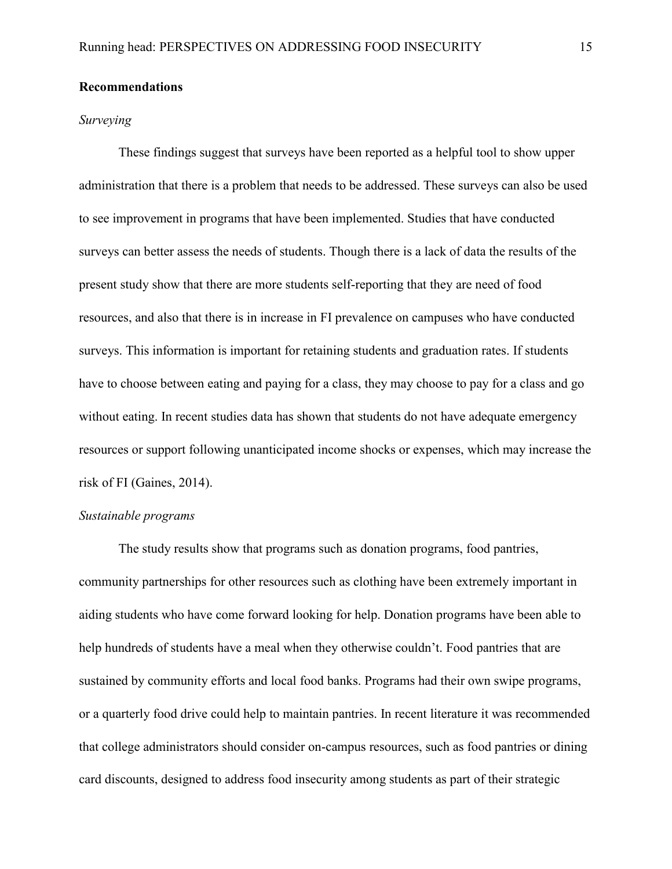## **Recommendations**

## *Surveying*

These findings suggest that surveys have been reported as a helpful tool to show upper administration that there is a problem that needs to be addressed. These surveys can also be used to see improvement in programs that have been implemented. Studies that have conducted surveys can better assess the needs of students. Though there is a lack of data the results of the present study show that there are more students self-reporting that they are need of food resources, and also that there is in increase in FI prevalence on campuses who have conducted surveys. This information is important for retaining students and graduation rates. If students have to choose between eating and paying for a class, they may choose to pay for a class and go without eating. In recent studies data has shown that students do not have adequate emergency resources or support following unanticipated income shocks or expenses, which may increase the risk of FI (Gaines, 2014).

## *Sustainable programs*

The study results show that programs such as donation programs, food pantries, community partnerships for other resources such as clothing have been extremely important in aiding students who have come forward looking for help. Donation programs have been able to help hundreds of students have a meal when they otherwise couldn't. Food pantries that are sustained by community efforts and local food banks. Programs had their own swipe programs, or a quarterly food drive could help to maintain pantries. In recent literature it was recommended that college administrators should consider on-campus resources, such as food pantries or dining card discounts, designed to address food insecurity among students as part of their strategic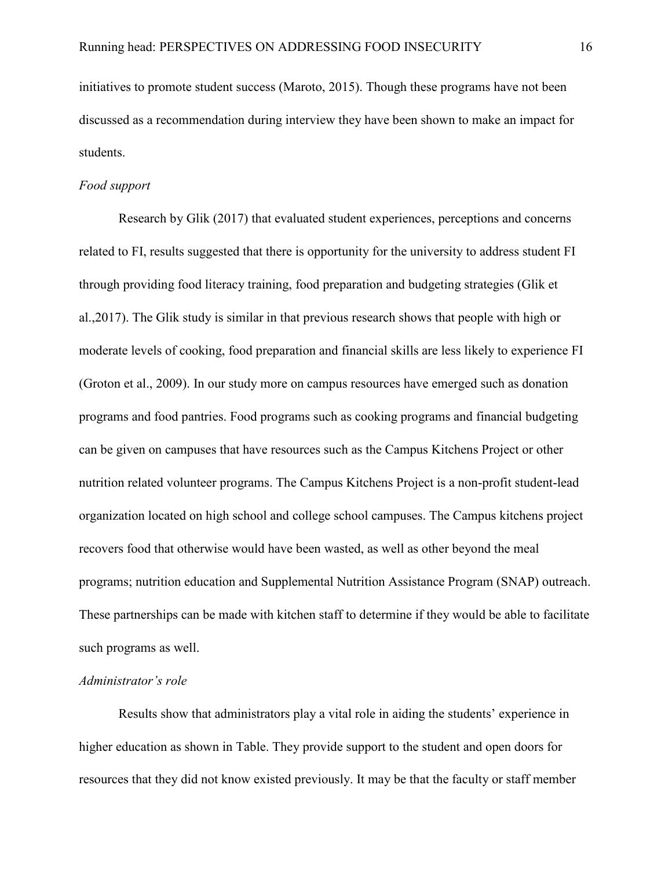initiatives to promote student success (Maroto, 2015). Though these programs have not been discussed as a recommendation during interview they have been shown to make an impact for students.

#### *Food support*

Research by Glik (2017) that evaluated student experiences, perceptions and concerns related to FI, results suggested that there is opportunity for the university to address student FI through providing food literacy training, food preparation and budgeting strategies (Glik et al.,2017). The Glik study is similar in that previous research shows that people with high or moderate levels of cooking, food preparation and financial skills are less likely to experience FI (Groton et al., 2009). In our study more on campus resources have emerged such as donation programs and food pantries. Food programs such as cooking programs and financial budgeting can be given on campuses that have resources such as the Campus Kitchens Project or other nutrition related volunteer programs. The Campus Kitchens Project is a non-profit student-lead organization located on high school and college school campuses. The Campus kitchens project recovers food that otherwise would have been wasted, as well as other beyond the meal programs; nutrition education and Supplemental Nutrition Assistance Program (SNAP) outreach. These partnerships can be made with kitchen staff to determine if they would be able to facilitate such programs as well.

#### *Administrator's role*

 Results show that administrators play a vital role in aiding the students' experience in higher education as shown in Table. They provide support to the student and open doors for resources that they did not know existed previously. It may be that the faculty or staff member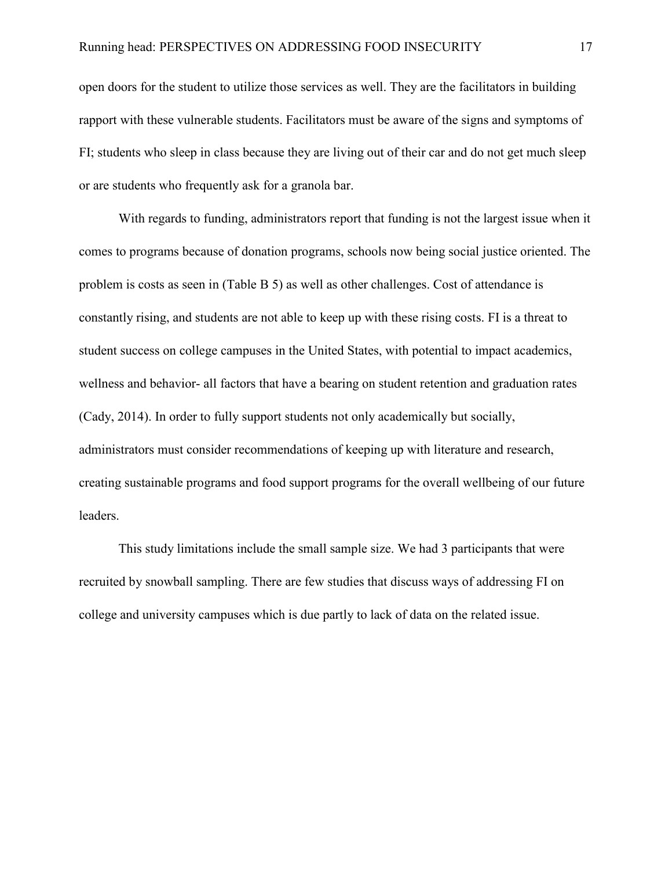open doors for the student to utilize those services as well. They are the facilitators in building rapport with these vulnerable students. Facilitators must be aware of the signs and symptoms of FI; students who sleep in class because they are living out of their car and do not get much sleep or are students who frequently ask for a granola bar.

 With regards to funding, administrators report that funding is not the largest issue when it comes to programs because of donation programs, schools now being social justice oriented. The problem is costs as seen in (Table B 5) as well as other challenges. Cost of attendance is constantly rising, and students are not able to keep up with these rising costs. FI is a threat to student success on college campuses in the United States, with potential to impact academics, wellness and behavior- all factors that have a bearing on student retention and graduation rates (Cady, 2014). In order to fully support students not only academically but socially, administrators must consider recommendations of keeping up with literature and research, creating sustainable programs and food support programs for the overall wellbeing of our future leaders.

This study limitations include the small sample size. We had 3 participants that were recruited by snowball sampling. There are few studies that discuss ways of addressing FI on college and university campuses which is due partly to lack of data on the related issue.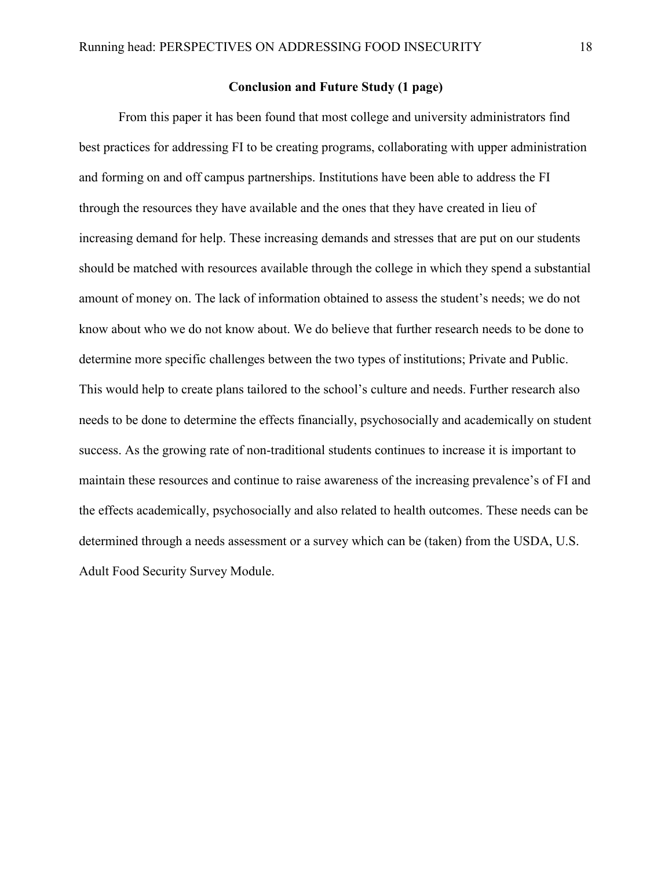## **Conclusion and Future Study (1 page)**

From this paper it has been found that most college and university administrators find best practices for addressing FI to be creating programs, collaborating with upper administration and forming on and off campus partnerships. Institutions have been able to address the FI through the resources they have available and the ones that they have created in lieu of increasing demand for help. These increasing demands and stresses that are put on our students should be matched with resources available through the college in which they spend a substantial amount of money on. The lack of information obtained to assess the student's needs; we do not know about who we do not know about. We do believe that further research needs to be done to determine more specific challenges between the two types of institutions; Private and Public. This would help to create plans tailored to the school's culture and needs. Further research also needs to be done to determine the effects financially, psychosocially and academically on student success. As the growing rate of non-traditional students continues to increase it is important to maintain these resources and continue to raise awareness of the increasing prevalence's of FI and the effects academically, psychosocially and also related to health outcomes. These needs can be determined through a needs assessment or a survey which can be (taken) from the USDA, U.S. Adult Food Security Survey Module.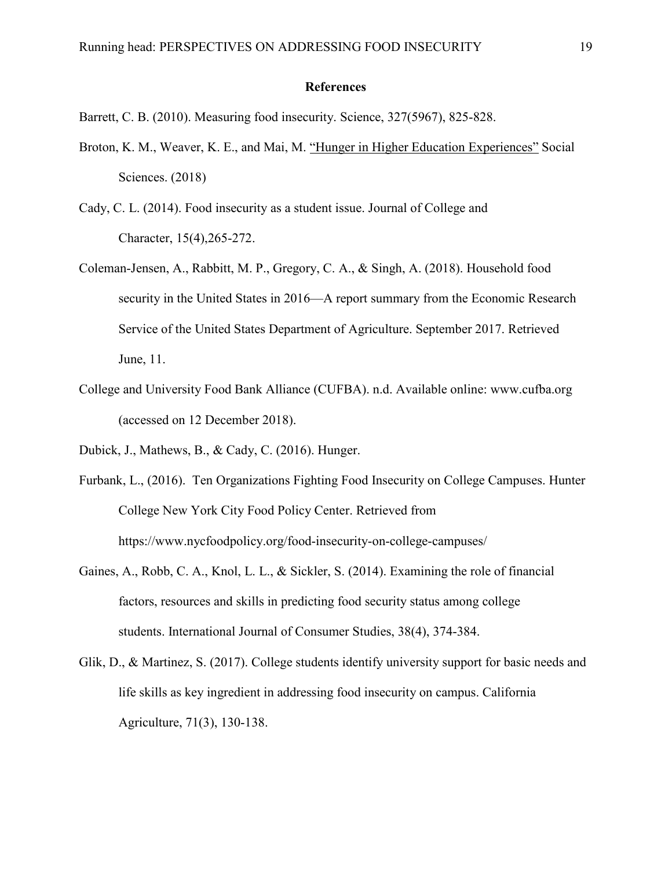#### **References**

Barrett, C. B. (2010). Measuring food insecurity. Science, 327(5967), 825-828.

- Broton, K. M., Weaver, K. E., and Mai, M. ["Hunger in Higher Education Experiences"](https://hope4college.com/wp-content/uploads/2018/10/Hunger-in-Higher-Education-Experiences.pdf) Social Sciences. (2018)
- Cady, C. L. (2014). Food insecurity as a student issue. Journal of College and Character, 15(4),265-272.
- Coleman-Jensen, A., Rabbitt, M. P., Gregory, C. A., & Singh, A. (2018). Household food security in the United States in 2016—A report summary from the Economic Research Service of the United States Department of Agriculture. September 2017. Retrieved June, 11.
- College and University Food Bank Alliance (CUFBA). n.d. Available online: www.cufba.org (accessed on 12 December 2018).
- Dubick, J., Mathews, B., & Cady, C. (2016). Hunger.
- Furbank, L., (2016). Ten Organizations Fighting Food Insecurity on College Campuses. Hunter College New York City Food Policy Center. Retrieved from https://www.nycfoodpolicy.org/food-insecurity-on-college-campuses/
- Gaines, A., Robb, C. A., Knol, L. L., & Sickler, S. (2014). Examining the role of financial factors, resources and skills in predicting food security status among college students. International Journal of Consumer Studies, 38(4), 374-384.
- Glik, D., & Martinez, S. (2017). College students identify university support for basic needs and life skills as key ingredient in addressing food insecurity on campus. California Agriculture, 71(3), 130-138.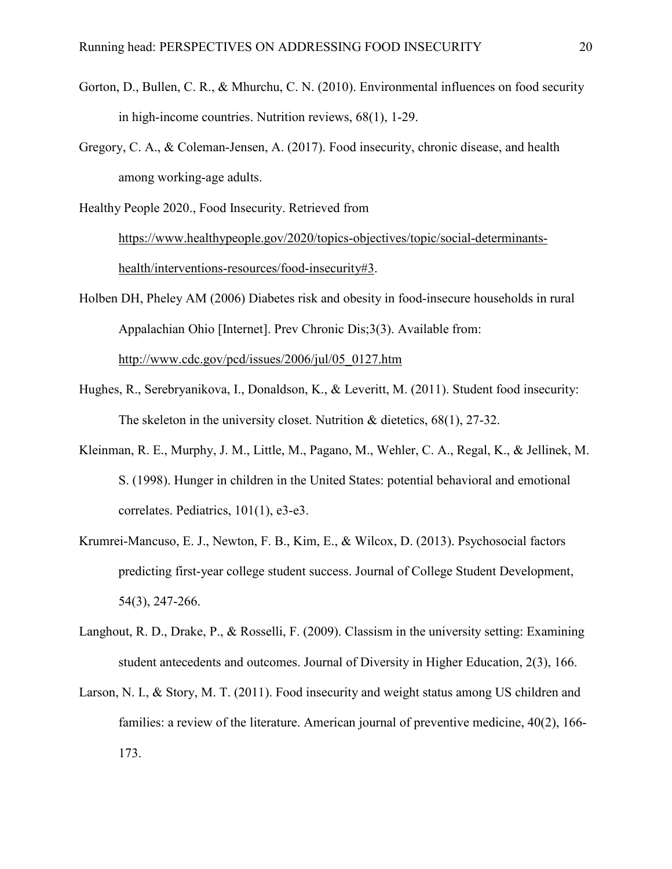- Gorton, D., Bullen, C. R., & Mhurchu, C. N. (2010). Environmental influences on food security in high-income countries. Nutrition reviews, 68(1), 1-29.
- Gregory, C. A., & Coleman-Jensen, A. (2017). Food insecurity, chronic disease, and health among working-age adults.

Healthy People 2020., Food Insecurity. Retrieved from

[https://www.healthypeople.gov/2020/topics-objectives/topic/social-determinants](https://www.healthypeople.gov/2020/topics-objectives/topic/social-determinants-health/interventions-resources/food-insecurity#3)[health/interventions-resources/food-insecurity#3.](https://www.healthypeople.gov/2020/topics-objectives/topic/social-determinants-health/interventions-resources/food-insecurity#3)

Holben DH, Pheley AM (2006) Diabetes risk and obesity in food-insecure households in rural Appalachian Ohio [Internet]. Prev Chronic Dis;3(3). Available from: [http://www.cdc.gov/pcd/issues/2006/jul/05\\_0127.htm](http://www.cdc.gov/pcd/issues/2006/jul/05_0127.htm)

- Hughes, R., Serebryanikova, I., Donaldson, K., & Leveritt, M. (2011). Student food insecurity: The skeleton in the university closet. Nutrition & dietetics, 68(1), 27-32.
- Kleinman, R. E., Murphy, J. M., Little, M., Pagano, M., Wehler, C. A., Regal, K., & Jellinek, M. S. (1998). Hunger in children in the United States: potential behavioral and emotional correlates. Pediatrics, 101(1), e3-e3.
- Krumrei-Mancuso, E. J., Newton, F. B., Kim, E., & Wilcox, D. (2013). Psychosocial factors predicting first-year college student success. Journal of College Student Development, 54(3), 247-266.
- Langhout, R. D., Drake, P., & Rosselli, F. (2009). Classism in the university setting: Examining student antecedents and outcomes. Journal of Diversity in Higher Education, 2(3), 166.
- Larson, N. I., & Story, M. T. (2011). Food insecurity and weight status among US children and families: a review of the literature. American journal of preventive medicine, 40(2), 166- 173.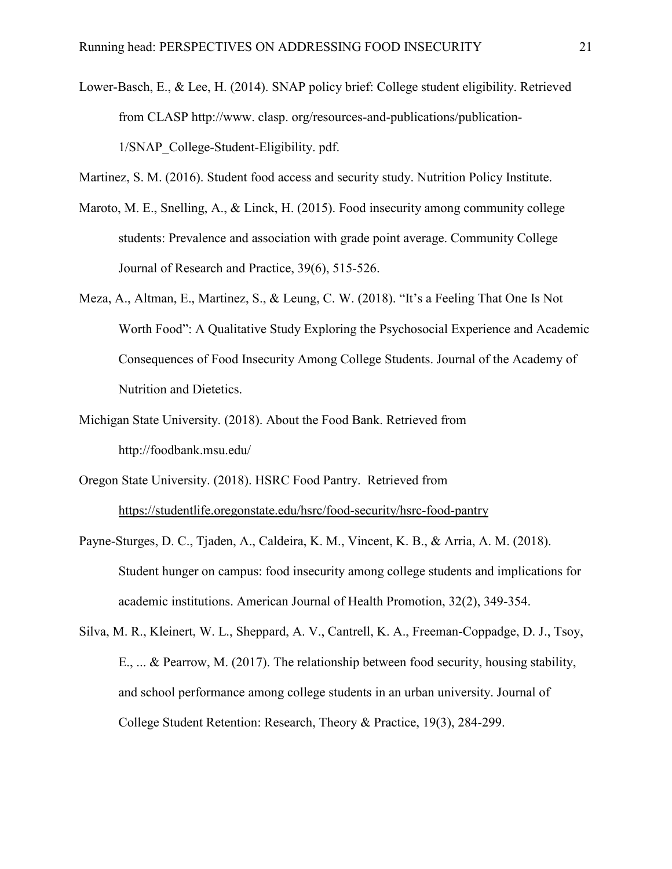- Lower-Basch, E., & Lee, H. (2014). SNAP policy brief: College student eligibility. Retrieved from CLASP http://www. clasp. org/resources-and-publications/publication-1/SNAP\_College-Student-Eligibility. pdf.
- Martinez, S. M. (2016). Student food access and security study. Nutrition Policy Institute.
- Maroto, M. E., Snelling, A., & Linck, H. (2015). Food insecurity among community college students: Prevalence and association with grade point average. Community College Journal of Research and Practice, 39(6), 515-526.
- Meza, A., Altman, E., Martinez, S., & Leung, C. W. (2018). "It's a Feeling That One Is Not Worth Food": A Qualitative Study Exploring the Psychosocial Experience and Academic Consequences of Food Insecurity Among College Students. Journal of the Academy of Nutrition and Dietetics.
- Michigan State University. (2018). About the Food Bank. Retrieved from http://foodbank.msu.edu/
- Oregon State University. (2018). HSRC Food Pantry. Retrieved from <https://studentlife.oregonstate.edu/hsrc/food-security/hsrc-food-pantry>
- Payne-Sturges, D. C., Tjaden, A., Caldeira, K. M., Vincent, K. B., & Arria, A. M. (2018). Student hunger on campus: food insecurity among college students and implications for academic institutions. American Journal of Health Promotion, 32(2), 349-354.
- Silva, M. R., Kleinert, W. L., Sheppard, A. V., Cantrell, K. A., Freeman-Coppadge, D. J., Tsoy, E., ... & Pearrow, M. (2017). The relationship between food security, housing stability, and school performance among college students in an urban university. Journal of College Student Retention: Research, Theory & Practice, 19(3), 284-299.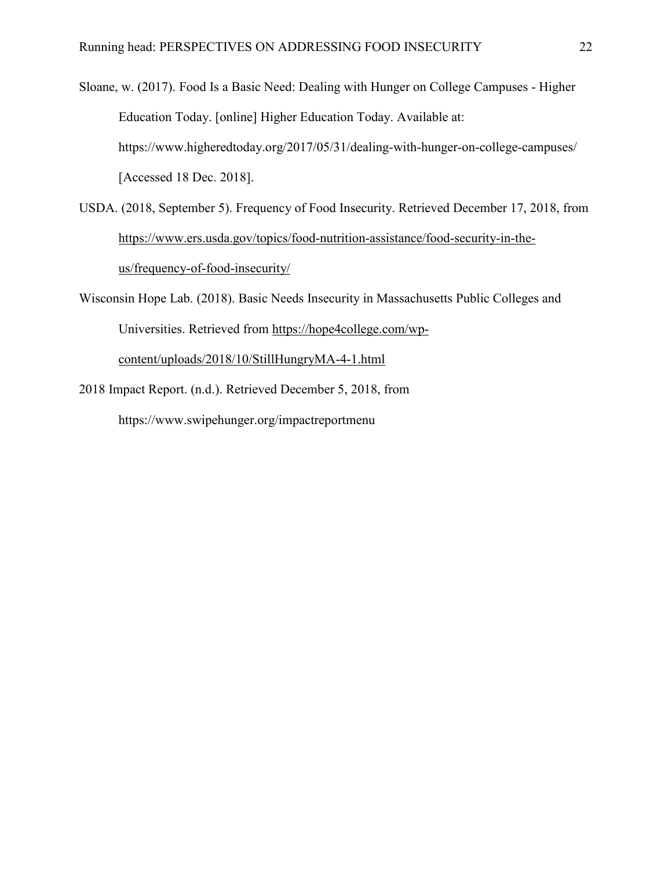Sloane, w. (2017). Food Is a Basic Need: Dealing with Hunger on College Campuses - Higher Education Today. [online] Higher Education Today. Available at: https://www.higheredtoday.org/2017/05/31/dealing-with-hunger-on-college-campuses/ [Accessed 18 Dec. 2018].

- USDA. (2018, September 5). Frequency of Food Insecurity. Retrieved December 17, 2018, from [https://www.ers.usda.gov/topics/food-nutrition-assistance/food-security-in-the](https://www.ers.usda.gov/topics/food-nutrition-assistance/food-security-in-the-us/frequency-of-food-insecurity/)[us/frequency-of-food-insecurity/](https://www.ers.usda.gov/topics/food-nutrition-assistance/food-security-in-the-us/frequency-of-food-insecurity/)
- Wisconsin Hope Lab. (2018). Basic Needs Insecurity in Massachusetts Public Colleges and Universities. Retrieved from [https://hope4college.com/wp](https://hope4college.com/wp-content/uploads/2018/10/StillHungryMA-4-1.html)[content/uploads/2018/10/StillHungryMA-4-1.html](https://hope4college.com/wp-content/uploads/2018/10/StillHungryMA-4-1.html)
- 2018 Impact Report. (n.d.). Retrieved December 5, 2018, from https://www.swipehunger.org/impactreportmenu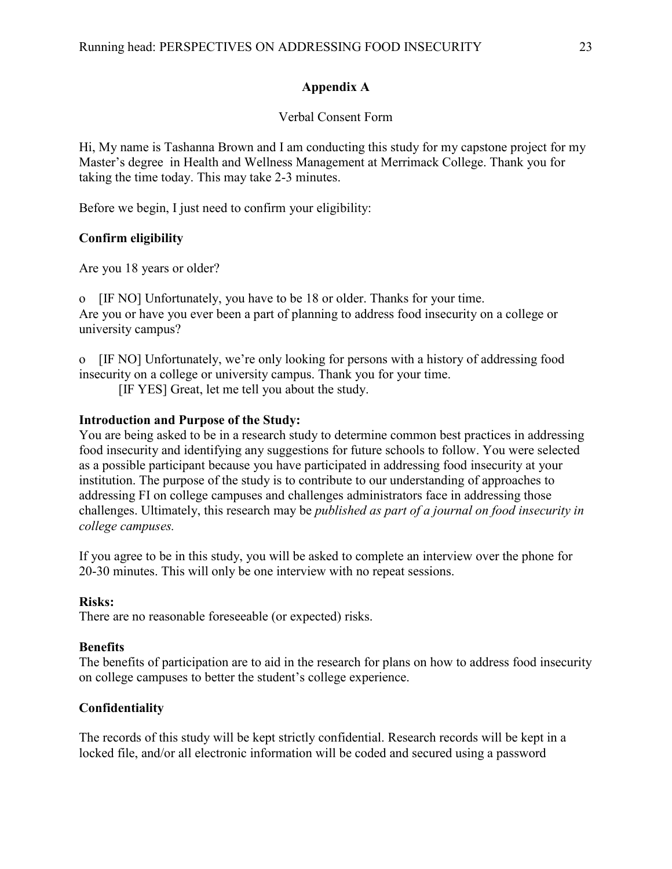# **Appendix A**

# Verbal Consent Form

Hi, My name is Tashanna Brown and I am conducting this study for my capstone project for my Master's degree in Health and Wellness Management at Merrimack College. Thank you for taking the time today. This may take 2-3 minutes.

Before we begin, I just need to confirm your eligibility:

# **Confirm eligibility**

Are you 18 years or older?

o [IF NO] Unfortunately, you have to be 18 or older. Thanks for your time. Are you or have you ever been a part of planning to address food insecurity on a college or university campus?

o [IF NO] Unfortunately, we're only looking for persons with a history of addressing food insecurity on a college or university campus. Thank you for your time.

[IF YES] Great, let me tell you about the study.

# **Introduction and Purpose of the Study:**

You are being asked to be in a research study to determine common best practices in addressing food insecurity and identifying any suggestions for future schools to follow. You were selected as a possible participant because you have participated in addressing food insecurity at your institution. The purpose of the study is to contribute to our understanding of approaches to addressing FI on college campuses and challenges administrators face in addressing those challenges. Ultimately, this research may be *published as part of a journal on food insecurity in college campuses.*

If you agree to be in this study, you will be asked to complete an interview over the phone for 20-30 minutes. This will only be one interview with no repeat sessions.

# **Risks:**

There are no reasonable foreseeable (or expected) risks.

# **Benefits**

The benefits of participation are to aid in the research for plans on how to address food insecurity on college campuses to better the student's college experience.

# **Confidentiality**

The records of this study will be kept strictly confidential. Research records will be kept in a locked file, and/or all electronic information will be coded and secured using a password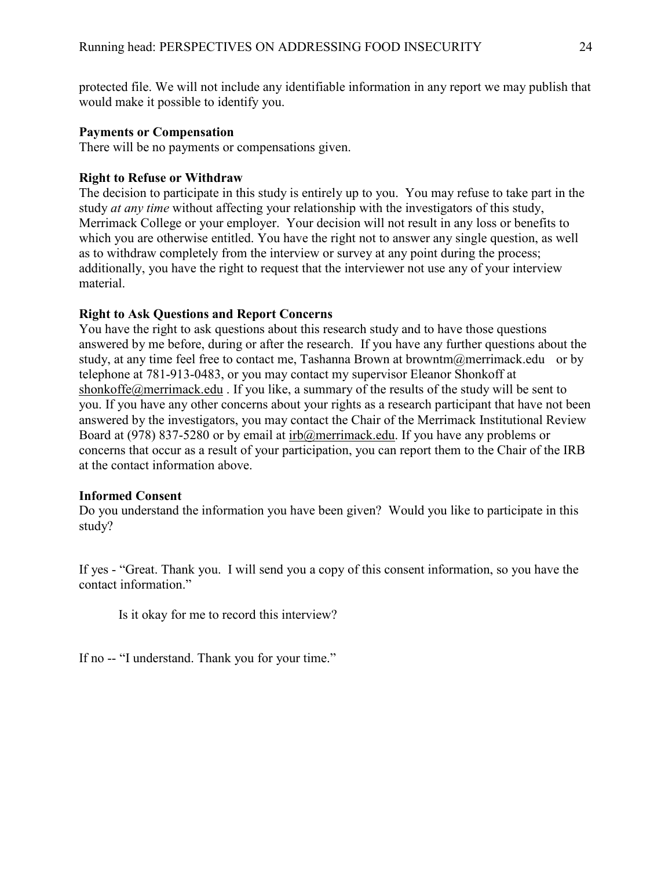protected file. We will not include any identifiable information in any report we may publish that would make it possible to identify you.

# **Payments or Compensation**

There will be no payments or compensations given.

## **Right to Refuse or Withdraw**

The decision to participate in this study is entirely up to you. You may refuse to take part in the study *at any time* without affecting your relationship with the investigators of this study, Merrimack College or your employer. Your decision will not result in any loss or benefits to which you are otherwise entitled. You have the right not to answer any single question, as well as to withdraw completely from the interview or survey at any point during the process; additionally, you have the right to request that the interviewer not use any of your interview material.

## **Right to Ask Questions and Report Concerns**

You have the right to ask questions about this research study and to have those questions answered by me before, during or after the research. If you have any further questions about the study, at any time feel free to contact me, Tashanna Brown at browntm $@$ merrimack.edu or by telephone at 781-913-0483, or you may contact my supervisor Eleanor Shonkoff at [shonkoffe@merrimack.edu](mailto:eshonkoff@merrimack.edu). If you like, a summary of the results of the study will be sent to you. If you have any other concerns about your rights as a research participant that have not been answered by the investigators, you may contact the Chair of the Merrimack Institutional Review Board at (978) 837-5280 or by email at [irb@merrimack.edu.](mailto:irb@merrimack.edu) If you have any problems or concerns that occur as a result of your participation, you can report them to the Chair of the IRB at the contact information above.

#### **Informed Consent**

Do you understand the information you have been given? Would you like to participate in this study?

If yes - "Great. Thank you. I will send you a copy of this consent information, so you have the contact information."

Is it okay for me to record this interview?

If no -- "I understand. Thank you for your time."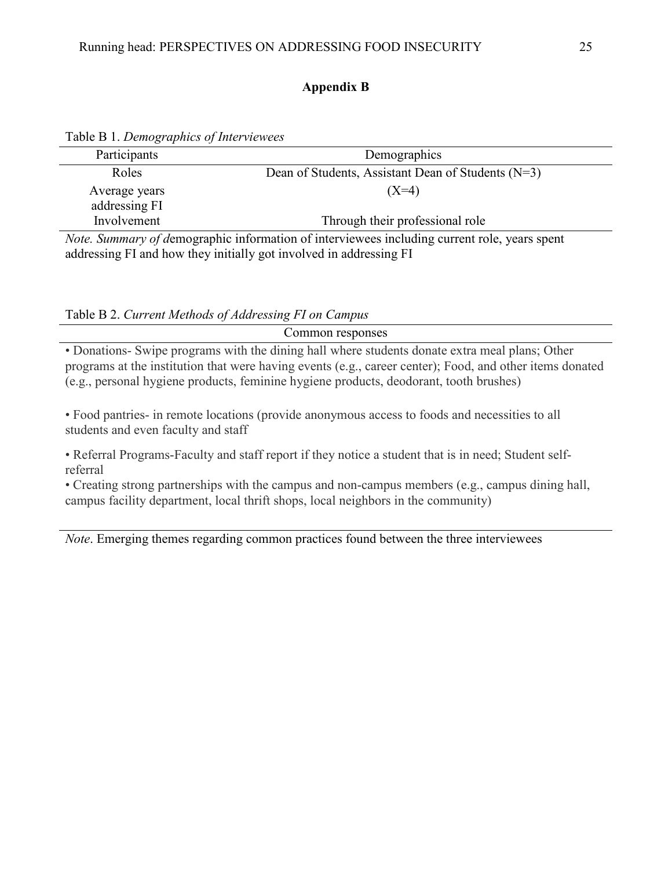# **Appendix B**

| Participants                                                                                 | Demographics                                       |  |  |  |
|----------------------------------------------------------------------------------------------|----------------------------------------------------|--|--|--|
| Roles                                                                                        | Dean of Students, Assistant Dean of Students (N=3) |  |  |  |
| Average years                                                                                | $(X=4)$                                            |  |  |  |
| addressing FI                                                                                |                                                    |  |  |  |
| Involvement                                                                                  | Through their professional role                    |  |  |  |
| Note. Summary of demographic information of interviewees including current role, years spent |                                                    |  |  |  |
| addressing FI and how they initially got involved in addressing FI                           |                                                    |  |  |  |

Table B 1. *Demographics of Interviewees*

|  | Table B 2. Current Methods of Addressing FI on Campus |  |
|--|-------------------------------------------------------|--|
|  |                                                       |  |

Common responses • Donations- Swipe programs with the dining hall where students donate extra meal plans; Other

programs at the institution that were having events (e.g., career center); Food, and other items donated (e.g., personal hygiene products, feminine hygiene products, deodorant, tooth brushes)

• Food pantries- in remote locations (provide anonymous access to foods and necessities to all students and even faculty and staff

• Referral Programs-Faculty and staff report if they notice a student that is in need; Student selfreferral

• Creating strong partnerships with the campus and non-campus members (e.g., campus dining hall, campus facility department, local thrift shops, local neighbors in the community)

*Note*. Emerging themes regarding common practices found between the three interviewees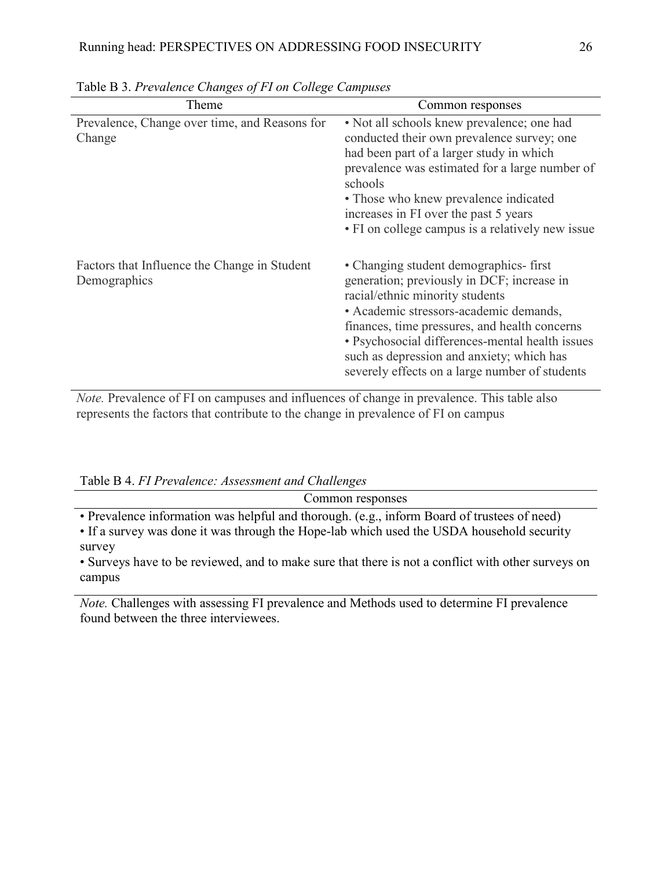| Theme                                                        | Common responses                                                                                                                                                                                                                                                                                                                                                    |  |
|--------------------------------------------------------------|---------------------------------------------------------------------------------------------------------------------------------------------------------------------------------------------------------------------------------------------------------------------------------------------------------------------------------------------------------------------|--|
| Prevalence, Change over time, and Reasons for<br>Change      | • Not all schools knew prevalence; one had<br>conducted their own prevalence survey; one<br>had been part of a larger study in which<br>prevalence was estimated for a large number of<br>schools<br>• Those who knew prevalence indicated<br>increases in FI over the past 5 years<br>• FI on college campus is a relatively new issue                             |  |
| Factors that Influence the Change in Student<br>Demographics | • Changing student demographics-first<br>generation; previously in DCF; increase in<br>racial/ethnic minority students<br>· Academic stressors-academic demands,<br>finances, time pressures, and health concerns<br>• Psychosocial differences-mental health issues<br>such as depression and anxiety; which has<br>severely effects on a large number of students |  |

Table B 3. *Prevalence Changes of FI on College Campuses* 

*Note.* Prevalence of FI on campuses and influences of change in prevalence. This table also represents the factors that contribute to the change in prevalence of FI on campus

Table B 4. *FI Prevalence: Assessment and Challenges*

| Common responses                                                                            |
|---------------------------------------------------------------------------------------------|
| • Prevalence information was helpful and thorough. (e.g., inform Board of trustees of need) |
| • If a survey was done it was through the Hope-lab which used the USDA household security   |
| survey                                                                                      |

• Surveys have to be reviewed, and to make sure that there is not a conflict with other surveys on campus

*Note.* Challenges with assessing FI prevalence and Methods used to determine FI prevalence found between the three interviewees.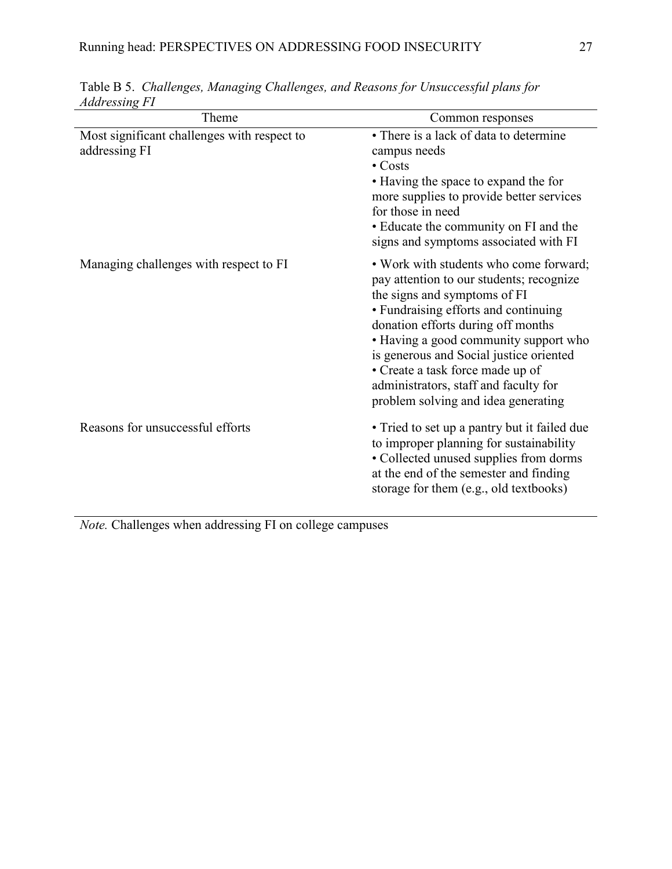| Theme                                                        | Common responses                                                                                                                                                                                                                                                                                                                                                                                         |
|--------------------------------------------------------------|----------------------------------------------------------------------------------------------------------------------------------------------------------------------------------------------------------------------------------------------------------------------------------------------------------------------------------------------------------------------------------------------------------|
| Most significant challenges with respect to<br>addressing FI | • There is a lack of data to determine<br>campus needs<br>$\bullet$ Costs<br>• Having the space to expand the for<br>more supplies to provide better services<br>for those in need<br>• Educate the community on FI and the<br>signs and symptoms associated with FI                                                                                                                                     |
| Managing challenges with respect to FI                       | • Work with students who come forward;<br>pay attention to our students; recognize<br>the signs and symptoms of FI<br>• Fundraising efforts and continuing<br>donation efforts during off months<br>• Having a good community support who<br>is generous and Social justice oriented<br>• Create a task force made up of<br>administrators, staff and faculty for<br>problem solving and idea generating |
| Reasons for unsuccessful efforts                             | • Tried to set up a pantry but it failed due<br>to improper planning for sustainability<br>• Collected unused supplies from dorms<br>at the end of the semester and finding<br>storage for them (e.g., old textbooks)                                                                                                                                                                                    |

Table B 5. *Challenges, Managing Challenges, and Reasons for Unsuccessful plans for Addressing FI*

*Note.* Challenges when addressing FI on college campuses